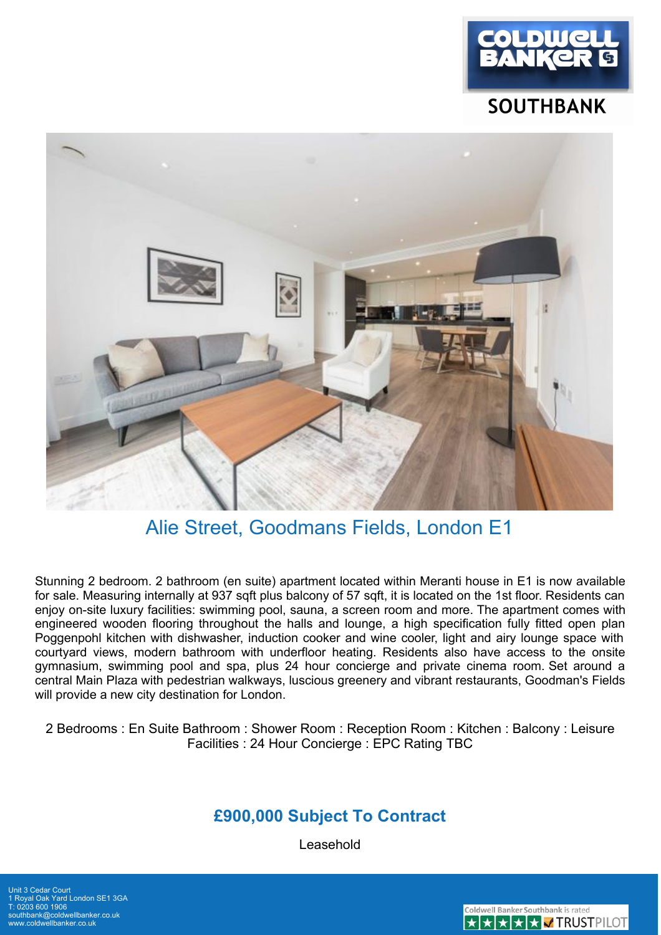

## **SOUTHBANK**



## Alie Street, Goodmans Fields, London E1

Stunning 2 bedroom. 2 bathroom (en suite) apartment located within Meranti house in E1 is now available for sale. Measuring internally at 937 sqft plus balcony of 57 sqft, it is located on the 1st floor. Residents can enjoy on-site luxury facilities: swimming pool, sauna, a screen room and more. The apartment comes with engineered wooden flooring throughout the halls and lounge, a high specification fully fitted open plan Poggenpohl kitchen with dishwasher, induction cooker and wine cooler, light and airy lounge space with courtyard views, modern bathroom with underfloor heating. Residents also have access to the onsite gymnasium, swimming pool and spa, plus 24 hour concierge and private cinema room. Set around a central Main Plaza with pedestrian walkways, luscious greenery and vibrant restaurants, Goodman's Fields will provide a new city destination for London.

2 Bedrooms : En Suite Bathroom : Shower Room : Reception Room : Kitchen : Balcony : Leisure Facilities : 24 Hour Concierge : EPC Rating TBC

#### **£900,000 Subject To Contract**

Leasehold

Unit 3 Cedar Court 1 Royal Oak Yard London SE1 3GA T: 0203 600 1906 southbank@coldwellbanker.co.uk www.coldwellbanker.co.uk

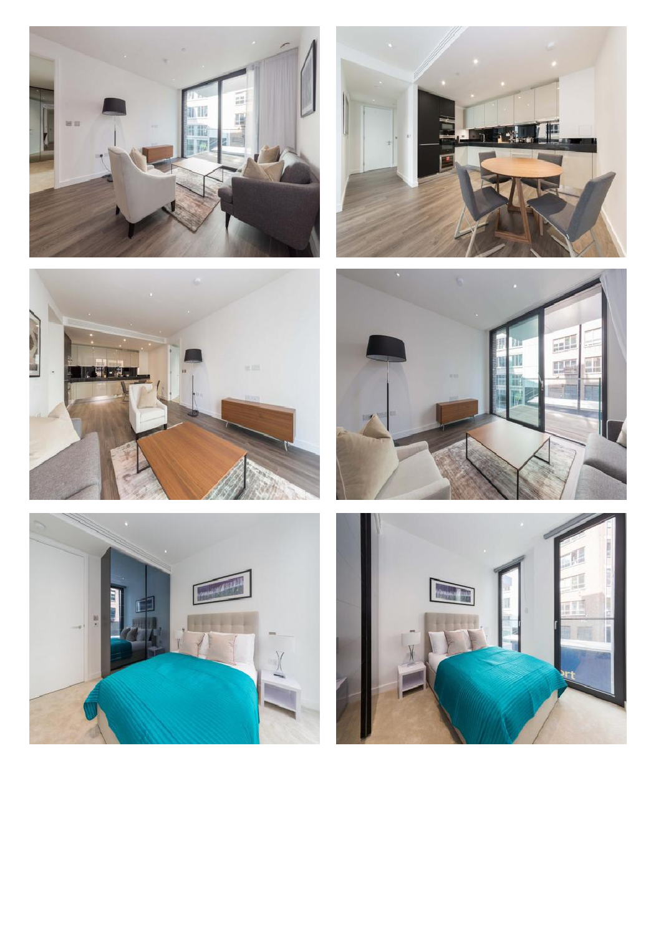









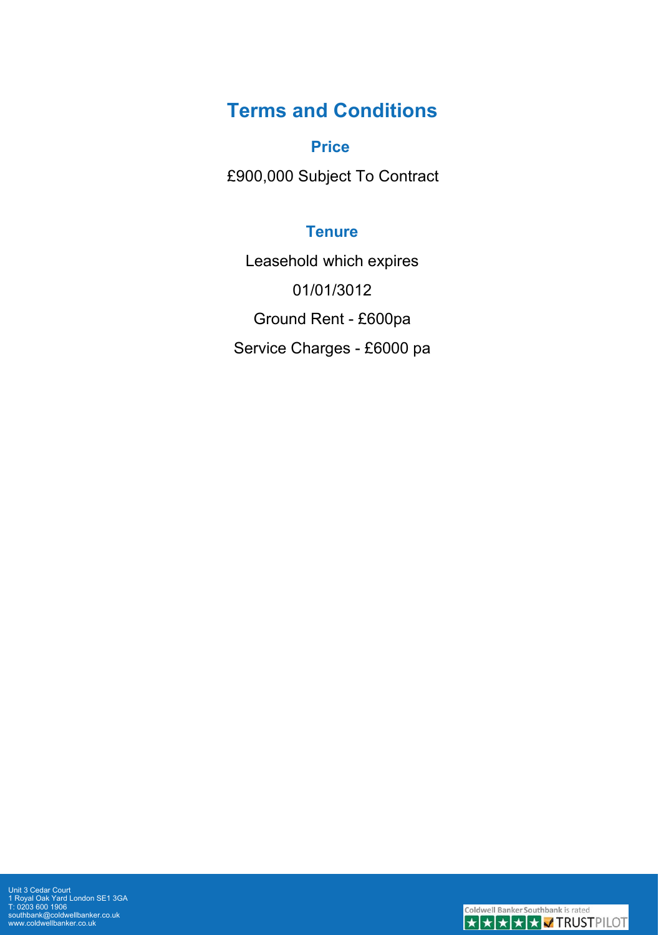# **Terms and Conditions**

### **Price**

£900,000 Subject To Contract

### **Tenure**

Leasehold which expires 01/01/3012 Ground Rent - £600pa Service Charges - £6000 pa